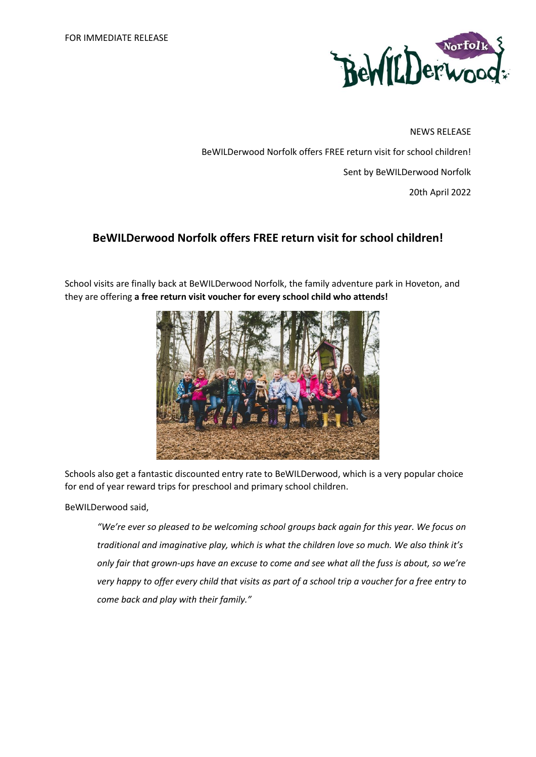

NEWS RELEASE BeWILDerwood Norfolk offers FREE return visit for school children! Sent by BeWILDerwood Norfolk 20th April 2022

# **BeWILDerwood Norfolk offers FREE return visit for school children!**

School visits are finally back at BeWILDerwood Norfolk, the family adventure park in Hoveton, and they are offering **a free return visit voucher for every school child who attends!** 



Schools also get a fantastic discounted entry rate to BeWILDerwood, which is a very popular choice for end of year reward trips for preschool and primary school children.

BeWILDerwood said,

*"We're ever so pleased to be welcoming school groups back again for this year. We focus on traditional and imaginative play, which is what the children love so much. We also think it's only fair that grown-ups have an excuse to come and see what all the fuss is about, so we're very happy to offer every child that visits as part of a school trip a voucher for a free entry to come back and play with their family."*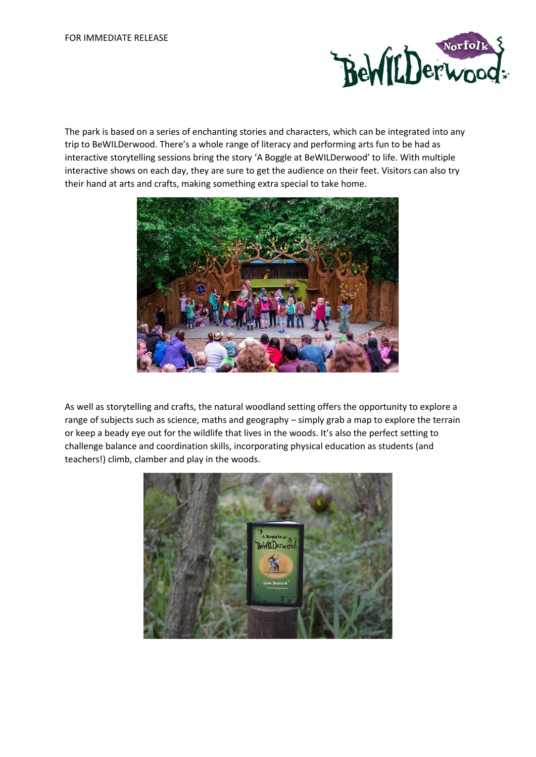

The park is based on a series of enchanting stories and characters, which can be integrated into any trip to BeWILDerwood. There's a whole range of literacy and performing arts fun to be had as interactive storytelling sessions bring the story 'A Boggle at BeWILDerwood' to life. With multiple interactive shows on each day, they are sure to get the audience on their feet. Visitors can also try their hand at arts and crafts, making something extra special to take home.



As well as storytelling and crafts, the natural woodland setting offers the opportunity to explore a range of subjects such as science, maths and geography – simply grab a map to explore the terrain or keep a beady eye out for the wildlife that lives in the woods. It's also the perfect setting to challenge balance and coordination skills, incorporating physical education as students (and teachers!) climb, clamber and play in the woods.

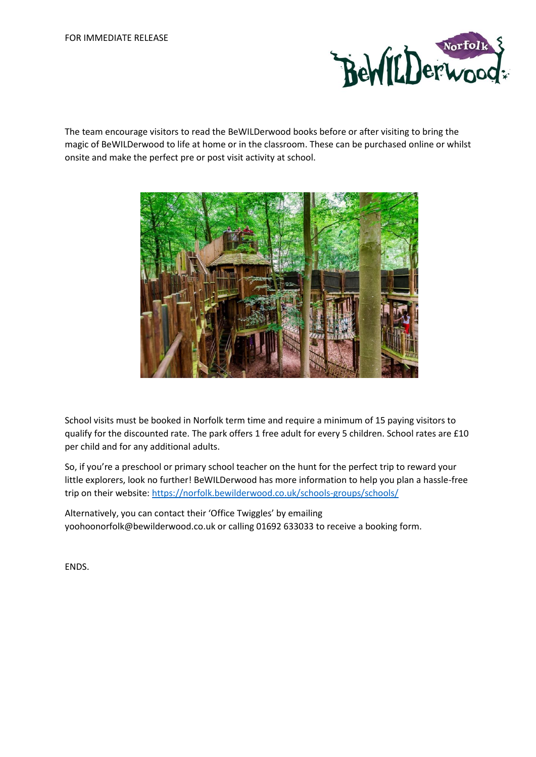

The team encourage visitors to read the BeWILDerwood books before or after visiting to bring the magic of BeWILDerwood to life at home or in the classroom. These can be purchased online or whilst onsite and make the perfect pre or post visit activity at school.



School visits must be booked in Norfolk term time and require a minimum of 15 paying visitors to qualify for the discounted rate. The park offers 1 free adult for every 5 children. School rates are £10 per child and for any additional adults.

So, if you're a preschool or primary school teacher on the hunt for the perfect trip to reward your little explorers, look no further! BeWILDerwood has more information to help you plan a hassle-free trip on their website[: https://norfolk.bewilderwood.co.uk/schools-groups/schools/](https://norfolk.bewilderwood.co.uk/schools-groups/schools/)

Alternatively, you can contact their 'Office Twiggles' by emailing yoohoonorfolk@bewilderwood.co.uk or calling 01692 633033 to receive a booking form.

ENDS.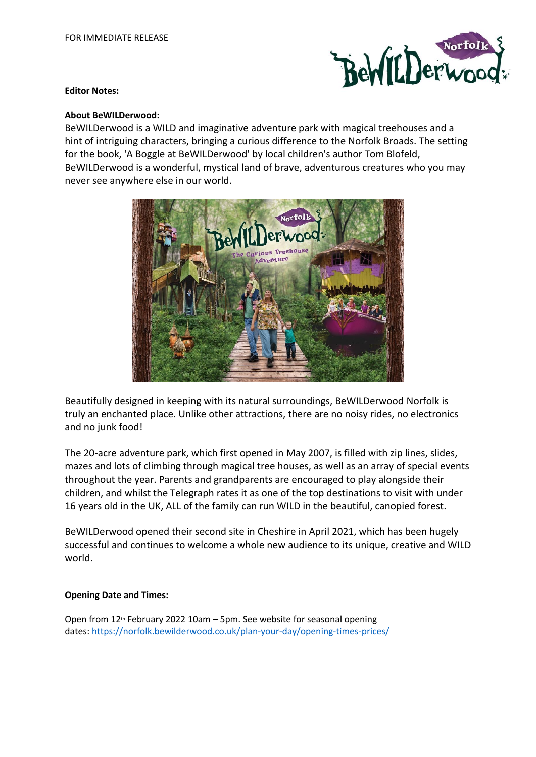

#### **Editor Notes:**

## **About BeWILDerwood:**

BeWILDerwood is a WILD and imaginative adventure park with magical treehouses and a hint of intriguing characters, bringing a curious difference to the Norfolk Broads. The setting for the book, 'A Boggle at BeWILDerwood' by local children's author Tom Blofeld, BeWILDerwood is a wonderful, mystical land of brave, adventurous creatures who you may never see anywhere else in our world.



Beautifully designed in keeping with its natural surroundings, BeWILDerwood Norfolk is truly an enchanted place. Unlike other attractions, there are no noisy rides, no electronics and no junk food!

The 20-acre adventure park, which first opened in May 2007, is filled with zip lines, slides, mazes and lots of climbing through magical tree houses, as well as an array of special events throughout the year. Parents and grandparents are encouraged to play alongside their children, and whilst the Telegraph rates it as one of the top destinations to visit with under 16 years old in the UK, ALL of the family can run WILD in the beautiful, canopied forest.

BeWILDerwood opened their second site in Cheshire in April 2021, which has been hugely successful and continues to welcome a whole new audience to its unique, creative and WILD world.

# **Opening Date and Times:**

Open from 12<sup>th</sup> February 2022 10am - 5pm. See website for seasonal opening dates: <https://norfolk.bewilderwood.co.uk/plan-your-day/opening-times-prices/>